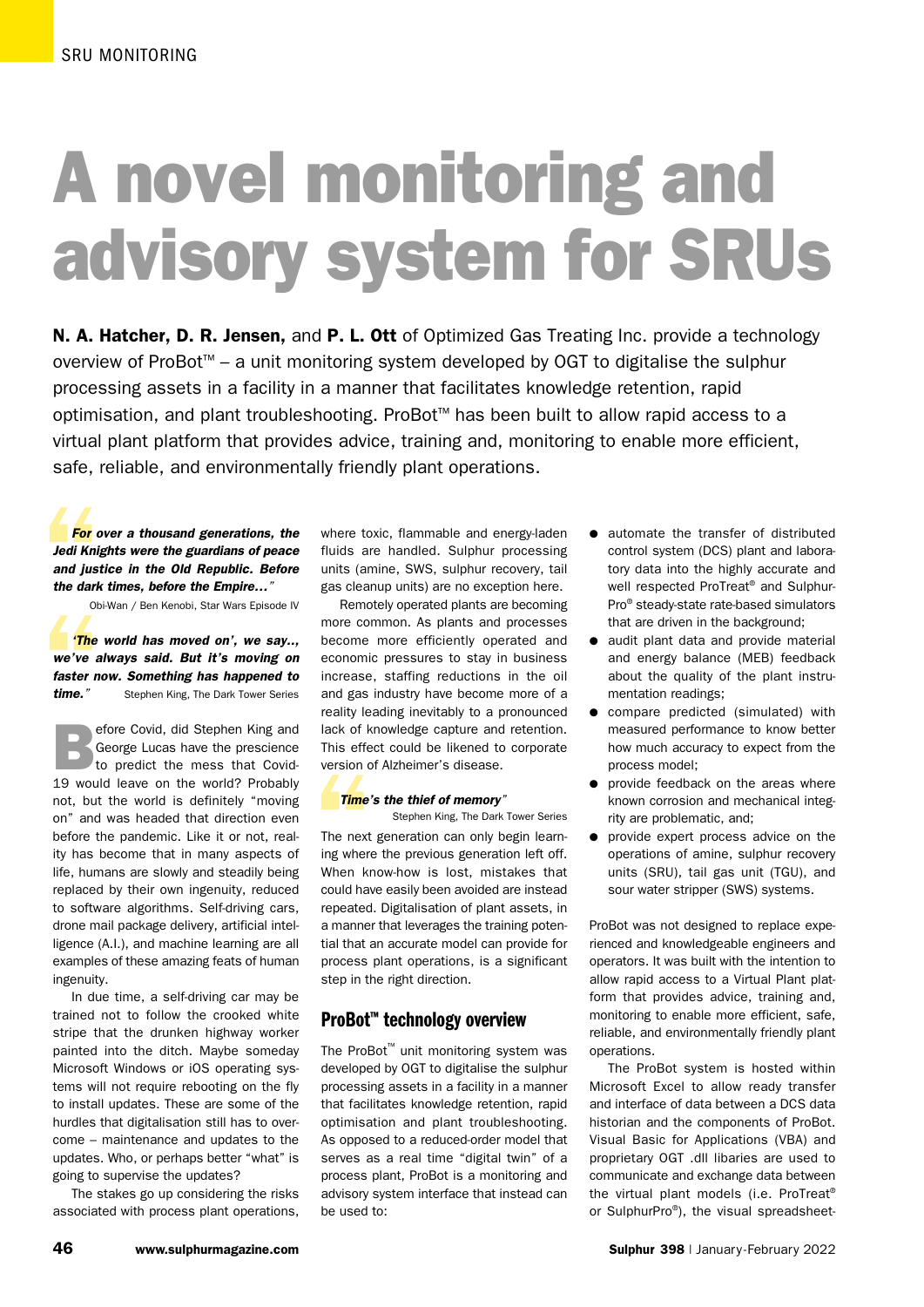# A novel monitoring and advisory system for SRUs

N. A. Hatcher, D. R. Jensen, and P. L. Ott of Optimized Gas Treating Inc. provide a technology overview of ProBot™ – a unit monitoring system developed by OGT to digitalise the sulphur processing assets in a facility in a manner that facilitates knowledge retention, rapid optimisation, and plant troubleshooting. ProBot™ has been built to allow rapid access to a virtual plant platform that provides advice, training and, monitoring to enable more efficient, safe, reliable, and environmentally friendly plant operations.

For c<br>
Jedi Kni<sub>i</sub><br>
and just<br>
the dark<br>
ob *For over a thousand generations, the Jedi Knights were the guardians of peace and justice in the Old Republic. Before the dark times, before the Empire…"*

Obi-Wan / Ben Kenobi, Star Wars Episode IV

<sup>Ob</sup><br> **The**<br>
we've a<br>
faster n<br>
time." *'The world has moved on', we say.., we've always said. But it's moving on faster now. Something has happened to time."* Stephen King, The Dark Tower Series

Example Covid, did Stephen King and<br>
George Lucas have the prescience<br>
to predict the mess that Covid-George Lucas have the prescience to predict the mess that Covid-19 would leave on the world? Probably not, but the world is definitely "moving on" and was headed that direction even before the pandemic. Like it or not, reality has become that in many aspects of life, humans are slowly and steadily being replaced by their own ingenuity, reduced to software algorithms. Self-driving cars, drone mail package delivery, artificial intelligence (A.I.), and machine learning are all examples of these amazing feats of human ingenuity.

In due time, a self-driving car may be trained not to follow the crooked white stripe that the drunken highway worker painted into the ditch. Maybe someday Microsoft Windows or iOS operating systems will not require rebooting on the fly to install updates. These are some of the hurdles that digitalisation still has to overcome – maintenance and updates to the updates. Who, or perhaps better "what" is going to supervise the updates?

The stakes go up considering the risks associated with process plant operations,

where toxic, flammable and energy-laden fluids are handled. Sulphur processing units (amine, SWS, sulphur recovery, tail gas cleanup units) are no exception here.

Remotely operated plants are becoming more common. As plants and processes become more efficiently operated and economic pressures to stay in business increase, staffing reductions in the oil and gas industry have become more of a reality leading inevitably to a pronounced lack of knowledge capture and retention. This effect could be likened to corporate version of Alzheimer's disease.

#### *Time's the thief of memory"*

Stephen King, The Dark Tower Series

version of Alzheimer's disease.<br>
Time's the thief of memory"<br>
Stephen King, The Dark Tower Series<br>
The next generation can only begin learn-<br>
ing where the previous generation left off.<br>
When know-how is lost, mistakes tha The next generation can only begin learning where the previous generation left off. could have easily been avoided are instead repeated. Digitalisation of plant assets, in a manner that leverages the training potential that an accurate model can provide for process plant operations, is a significant step in the right direction.

# ProBot™ technology overview

The ProBot™ unit monitoring system was developed by OGT to digitalise the sulphur processing assets in a facility in a manner that facilitates knowledge retention, rapid optimisation and plant troubleshooting. As opposed to a reduced-order model that serves as a real time "digital twin" of a process plant, ProBot is a monitoring and advisory system interface that instead can be used to:

- **•** automate the transfer of distributed control system (DCS) plant and laboratory data into the highly accurate and well respected ProTreat® and Sulphur-Pro® steady-state rate-based simulators that are driven in the background;
- $\bullet$  audit plant data and provide material and energy balance (MEB) feedback about the quality of the plant instrumentation readings;
- $\bullet$  compare predicted (simulated) with measured performance to know better how much accuracy to expect from the process model;
- provide feedback on the areas where known corrosion and mechanical integrity are problematic, and;
- provide expert process advice on the operations of amine, sulphur recovery units (SRU), tail gas unit (TGU), and sour water stripper (SWS) systems.

ProBot was not designed to replace experienced and knowledgeable engineers and operators. It was built with the intention to allow rapid access to a Virtual Plant platform that provides advice, training and, monitoring to enable more efficient, safe, reliable, and environmentally friendly plant operations.

The ProBot system is hosted within Microsoft Excel to allow ready transfer and interface of data between a DCS data historian and the components of ProBot. Visual Basic for Applications (VBA) and proprietary OGT .dll libaries are used to communicate and exchange data between the virtual plant models (i.e. ProTreat® or SulphurPro®), the visual spreadsheet-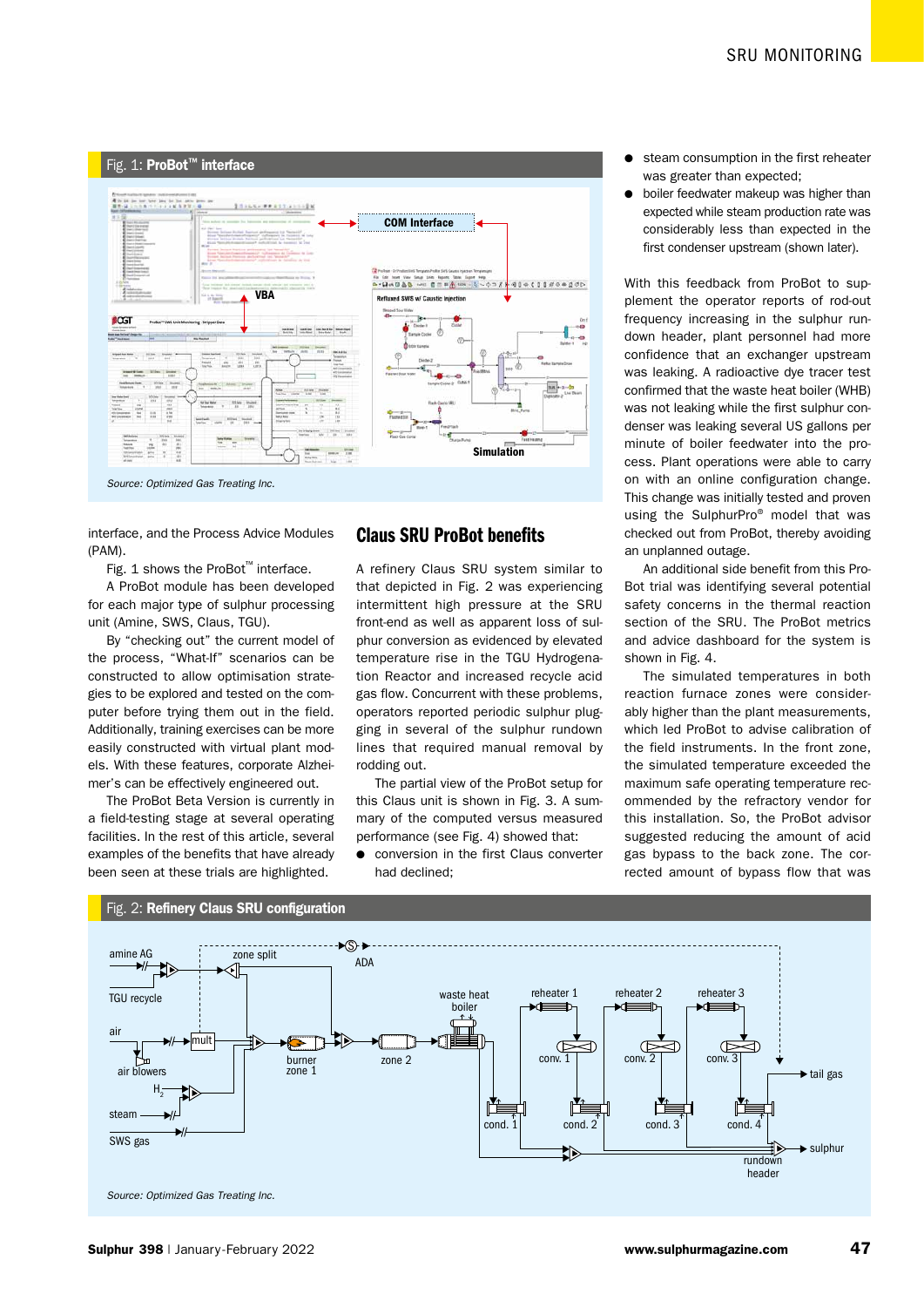

interface, and the Process Advice Modules (PAM).

Fig. 1 shows the ProBot™ interface.

A ProBot module has been developed for each major type of sulphur processing unit (Amine, SWS, Claus, TGU).

By "checking out" the current model of the process, "What-If" scenarios can be constructed to allow optimisation strategies to be explored and tested on the computer before trying them out in the field. Additionally, training exercises can be more easily constructed with virtual plant models. With these features, corporate Alzheimer's can be effectively engineered out.

The ProBot Beta Version is currently in a field-testing stage at several operating facilities. In the rest of this article, several examples of the benefits that have already been seen at these trials are highlighted.

# Claus SRU ProBot benefits

A refinery Claus SRU system similar to that depicted in Fig. 2 was experiencing intermittent high pressure at the SRU front-end as well as apparent loss of sulphur conversion as evidenced by elevated temperature rise in the TGU Hydrogenation Reactor and increased recycle acid gas flow. Concurrent with these problems, operators reported periodic sulphur plugging in several of the sulphur rundown lines that required manual removal by rodding out.

The partial view of the ProBot setup for this Claus unit is shown in Fig. 3. A summary of the computed versus measured performance (see Fig. 4) showed that:

**•** conversion in the first Claus converter had declined;

- steam consumption in the first reheater was greater than expected;
- $\bullet$  boiler feedwater makeup was higher than expected while steam production rate was considerably less than expected in the first condenser upstream (shown later).

With this feedback from ProBot to supplement the operator reports of rod-out frequency increasing in the sulphur rundown header, plant personnel had more confidence that an exchanger upstream was leaking. A radioactive dye tracer test confirmed that the waste heat boiler (WHB) was not leaking while the first sulphur condenser was leaking several US gallons per minute of boiler feedwater into the process. Plant operations were able to carry on with an online configuration change. This change was initially tested and proven using the SulphurPro® model that was checked out from ProBot, thereby avoiding an unplanned outage.

An additional side benefit from this Pro-Bot trial was identifying several potential safety concerns in the thermal reaction section of the SRU. The ProBot metrics and advice dashboard for the system is shown in Fig. 4

The simulated temperatures in both reaction furnace zones were considerably higher than the plant measurements, which led ProBot to advise calibration of the field instruments. In the front zone, the simulated temperature exceeded the maximum safe operating temperature recommended by the refractory vendor for this installation. So, the ProBot advisor suggested reducing the amount of acid gas bypass to the back zone. The corrected amount of bypass flow that was

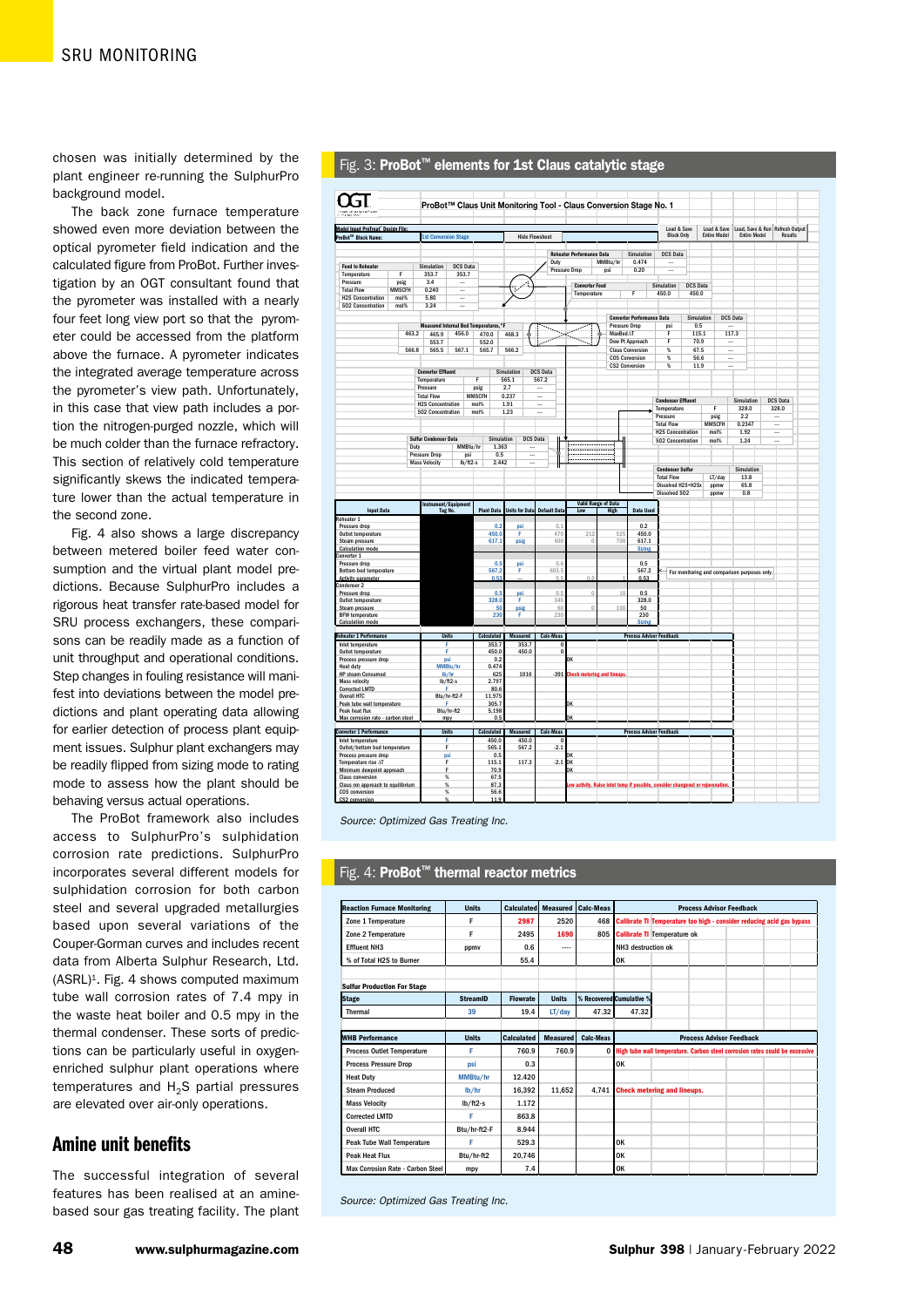chosen was initially determined by the plant engineer re-running the SulphurPro background model.

The back zone furnace temperature showed even more deviation between the optical pyrometer field indication and the calculated figure from ProBot. Further investigation by an OGT consultant found that the pyrometer was installed with a nearly four feet long view port so that the pyrometer could be accessed from the platform above the furnace. A pyrometer indicates the integrated average temperature across the pyrometer's view path. Unfortunately, in this case that view path includes a portion the nitrogen-purged nozzle, which will be much colder than the furnace refractory. This section of relatively cold temperature significantly skews the indicated temperature lower than the actual temperature in the second zone.

Fig. 4 also shows a large discrepancy between metered boiler feed water consumption and the virtual plant model predictions. Because SulphurPro includes a rigorous heat transfer rate-based model for SRU process exchangers, these comparisons can be readily made as a function of unit throughput and operational conditions. Step changes in fouling resistance will manifest into deviations between the model predictions and plant operating data allowing for earlier detection of process plant equipment issues. Sulphur plant exchangers may be readily flipped from sizing mode to rating mode to assess how the plant should be behaving versus actual operations.

The ProBot framework also includes access to SulphurPro's sulphidation corrosion rate predictions. SulphurPro incorporates several different models for sulphidation corrosion for both carbon steel and several upgraded metallurgies based upon several variations of the Couper-Gorman curves and includes recent data from Alberta Sulphur Research, Ltd. (ASRL)<sup>1</sup>. Fig. 4 shows computed maximum tube wall corrosion rates of 7.4 mpy in the waste heat boiler and 0.5 mpy in the thermal condenser. These sorts of predictions can be particularly useful in oxygenenriched sulphur plant operations where temperatures and  $H_2S$  partial pressures are elevated over air-only operations.

# Amine unit benefits

The successful integration of several features has been realised at an aminebased sour gas treating facility. The plant

|                                                                                                            |                       |                                                |                     |                       |                      |                       |                          |                              | ProBot™ Claus Unit Monitoring Tool - Claus Conversion Stage No. 1 |                            |          |                                                |                                                                                 |                 |              |                                    |                     |                                              |                                                   |  |
|------------------------------------------------------------------------------------------------------------|-----------------------|------------------------------------------------|---------------------|-----------------------|----------------------|-----------------------|--------------------------|------------------------------|-------------------------------------------------------------------|----------------------------|----------|------------------------------------------------|---------------------------------------------------------------------------------|-----------------|--------------|------------------------------------|---------------------|----------------------------------------------|---------------------------------------------------|--|
|                                                                                                            |                       |                                                |                     |                       |                      |                       |                          |                              |                                                                   |                            |          |                                                |                                                                                 |                 |              |                                    |                     |                                              |                                                   |  |
| Model Input ProTreat' Design File:<br>ProBot™ Block Name:                                                  |                       | <b>1st Conversion Stage</b>                    |                     |                       |                      |                       | <b>Hide Flowsheet</b>    |                              |                                                                   |                            |          |                                                | Load & Save<br><b>Block Only</b>                                                |                 |              | Load & Save<br><b>Entire Model</b> |                     | <b>Entire Model</b>                          | Load, Save & Run Refresh Output<br><b>Results</b> |  |
|                                                                                                            |                       |                                                |                     |                       |                      |                       |                          |                              |                                                                   |                            |          |                                                |                                                                                 |                 |              |                                    |                     |                                              |                                                   |  |
|                                                                                                            |                       |                                                |                     |                       |                      |                       |                          |                              | <b>Reheater Performance Data</b>                                  |                            |          | Simulation                                     | <b>DCS Data</b>                                                                 |                 |              |                                    |                     |                                              |                                                   |  |
| <b>Feed to Rebeater</b>                                                                                    |                       | Simulation                                     | <b>DCS Data</b>     |                       |                      |                       |                          | Duty                         | <b>Pressure Drop</b>                                              | MMBtu/hr<br>psi            |          | 0.474<br>0.20                                  | $\sim$                                                                          |                 |              |                                    |                     |                                              |                                                   |  |
| Temperature<br>Pressure                                                                                    | Е                     | 353.7<br>3.4                                   | 353.7<br>           |                       |                      |                       |                          |                              |                                                                   |                            |          |                                                |                                                                                 |                 |              |                                    |                     |                                              |                                                   |  |
| <b>Total Flow</b>                                                                                          | psig<br><b>MMSCFH</b> | 0.240                                          |                     |                       |                      |                       |                          |                              | <b>Converter Feed</b>                                             |                            |          |                                                | Simulation                                                                      | <b>DCS Data</b> |              |                                    |                     |                                              |                                                   |  |
| <b>H2S Concentration</b>                                                                                   | mol%                  | 5.80                                           |                     |                       |                      |                       |                          |                              | Temperature                                                       |                            |          | F                                              | 450.0                                                                           | 450.0           |              |                                    |                     |                                              |                                                   |  |
| SO2 Concentration                                                                                          | mol%                  | 3.24                                           |                     |                       |                      |                       |                          |                              |                                                                   |                            |          |                                                |                                                                                 |                 |              |                                    |                     |                                              |                                                   |  |
|                                                                                                            |                       |                                                |                     |                       |                      |                       |                          |                              |                                                                   |                            |          | <b>Converter Performance Data</b>              |                                                                                 |                 | Simulation   |                                    | <b>DCS Data</b>     |                                              |                                                   |  |
|                                                                                                            | 463.2                 | Measured Internal Bed Temperatures.°F<br>465.9 | 456.0               |                       | 470.0                | 468.3                 |                          |                              | $\frac{1}{\alpha}$                                                |                            | MaxBed∆T | <b>Pressure Drop</b>                           | psi<br>F                                                                        |                 | 0.5<br>115.1 | 117.3                              |                     |                                              |                                                   |  |
|                                                                                                            |                       | 553.7                                          |                     |                       | 552.0                |                       |                          |                              | $\overline{\phantom{a}}$                                          |                            |          | Dew Pt Approach                                | F                                                                               |                 | 70.9         |                                    |                     |                                              |                                                   |  |
|                                                                                                            | 566.8                 | 565.5                                          | 567.1               |                       | 565.7                | 566.2                 |                          |                              |                                                                   |                            |          | <b>Claus Conversion</b>                        | $\frac{8}{20}$                                                                  |                 | 67.5         |                                    |                     |                                              |                                                   |  |
|                                                                                                            |                       |                                                |                     |                       |                      |                       |                          |                              |                                                                   |                            |          | <b>COS Conversion</b><br><b>CS2 Conversion</b> | $\%$<br>%                                                                       |                 | 56.6<br>11.9 | <br>Ξ.                             |                     |                                              |                                                   |  |
|                                                                                                            |                       | <b>Converter Effluent</b>                      |                     |                       |                      | Simulation            | <b>DCS Data</b>          |                              |                                                                   |                            |          |                                                |                                                                                 |                 |              |                                    |                     |                                              |                                                   |  |
|                                                                                                            |                       | Temperature<br>Pressure                        |                     | F                     |                      | 565.1<br>2.7          | 567.2                    |                              |                                                                   |                            |          |                                                |                                                                                 |                 |              |                                    |                     |                                              |                                                   |  |
|                                                                                                            |                       | <b>Total Flow</b>                              |                     | psig<br><b>MMSCFH</b> |                      | 0.237                 |                          |                              |                                                                   |                            |          |                                                |                                                                                 |                 |              |                                    |                     |                                              |                                                   |  |
|                                                                                                            |                       | <b>H2S Concentration</b>                       |                     | mol%                  |                      | 1.91                  |                          |                              |                                                                   |                            |          |                                                | <b>Condenser Effluent</b><br>Temperature                                        |                 |              | F                                  | Simulation<br>328.0 |                                              | <b>DCS Data</b><br>328.0                          |  |
|                                                                                                            |                       | <b>SO2 Concentration</b>                       |                     | mol%                  |                      | 1.23                  |                          |                              |                                                                   |                            |          |                                                | Pressure                                                                        |                 |              | psig                               | 2.2                 |                                              |                                                   |  |
|                                                                                                            |                       |                                                |                     |                       |                      |                       |                          |                              |                                                                   |                            |          |                                                | <b>Total Flow</b>                                                               |                 |              | <b>MMSCFH</b>                      | 0.2347              |                                              | $\sim$                                            |  |
|                                                                                                            |                       | <b>Sulfur Condenser Data</b>                   |                     |                       | Simulation           |                       | <b>DCS Data</b>          |                              |                                                                   |                            |          |                                                | <b>H2S Concentration</b><br><b>SO2 Concentration</b>                            |                 |              | mol%<br>mol%                       | 1.92<br>1.24        |                                              | $\sim$<br>$\sim$                                  |  |
|                                                                                                            | Duty                  |                                                |                     | MMBtu/hr              | 1.363                |                       |                          |                              | j <del></del> .<br>.                                              |                            |          |                                                |                                                                                 |                 |              |                                    |                     |                                              |                                                   |  |
|                                                                                                            |                       | <b>Pressure Drop</b>                           |                     | psi                   | 0.5                  |                       | $\overline{\phantom{a}}$ |                              | <u></u><br>                                                       |                            |          |                                                |                                                                                 |                 |              |                                    |                     |                                              |                                                   |  |
|                                                                                                            |                       | <b>Mass Velocity</b>                           |                     | lb/ft2-s              | 2.442                |                       |                          |                              |                                                                   |                            | 11       |                                                | <b>Condenser Sulfur</b>                                                         |                 |              |                                    | Simulation          |                                              |                                                   |  |
|                                                                                                            |                       |                                                |                     |                       |                      |                       |                          |                              |                                                                   |                            |          |                                                | <b>Total Flow</b>                                                               |                 |              | LT/day                             | 13.8                |                                              |                                                   |  |
|                                                                                                            |                       |                                                |                     |                       |                      |                       |                          |                              |                                                                   |                            |          |                                                | Dissolved H2S+H2Sx<br>Dissolved SO2                                             |                 |              | ppmw                               | 65.8                |                                              |                                                   |  |
|                                                                                                            |                       |                                                |                     |                       |                      |                       |                          |                              |                                                                   | <b>Valid Range of Data</b> |          |                                                |                                                                                 |                 |              | ppmw                               | 0.8                 |                                              |                                                   |  |
| <b>Input Data</b>                                                                                          |                       | Instrument/Equipment                           | Tag No.             |                       | <b>Plant Data</b>    | <b>Units for Data</b> |                          | <b>Default Data</b>          | Low                                                               | High                       |          | Data Used                                      |                                                                                 |                 |              |                                    |                     |                                              |                                                   |  |
| Reheater 1                                                                                                 |                       |                                                |                     |                       |                      |                       |                          |                              |                                                                   |                            |          |                                                |                                                                                 |                 |              |                                    |                     |                                              |                                                   |  |
| Pressure drop<br>Outlet temperature                                                                        |                       |                                                |                     |                       | 0.2<br>450.0         | psi<br>F              |                          | 0.1<br>470                   | 212                                                               |                            | 525      | 0.2<br>450.0                                   |                                                                                 |                 |              |                                    |                     |                                              |                                                   |  |
| Steam pressure                                                                                             |                       |                                                |                     |                       | 617.1                | psig                  |                          | 600                          | $\theta$                                                          |                            | 700      | 617.1                                          |                                                                                 |                 |              |                                    |                     |                                              |                                                   |  |
| <b>Calculation mode</b>                                                                                    |                       |                                                |                     |                       |                      |                       |                          |                              |                                                                   |                            |          | <b>Sizing</b>                                  |                                                                                 |                 |              |                                    |                     |                                              |                                                   |  |
| Converter 1<br>Pressure drop                                                                               |                       |                                                |                     |                       | 0.5                  | psi                   |                          | 0.6                          |                                                                   |                            |          | 0.5                                            |                                                                                 |                 |              |                                    |                     |                                              |                                                   |  |
| Bottom bed temperature                                                                                     |                       |                                                |                     |                       | 567.2                | F                     |                          | 603.5                        |                                                                   |                            |          | 567.2                                          |                                                                                 |                 |              |                                    |                     | For monitoring and comparison purposes only. |                                                   |  |
| Activity paramete<br>Condenser 2                                                                           |                       |                                                |                     |                       | 0.53                 |                       |                          | 0.5                          | 0.0                                                               |                            |          | 0.53                                           |                                                                                 |                 |              |                                    |                     |                                              |                                                   |  |
| Pressure drop                                                                                              |                       |                                                |                     |                       | 0.5                  | psi                   |                          | 0.5                          | $\theta$                                                          |                            | 10       | 0.5                                            |                                                                                 |                 |              |                                    |                     |                                              |                                                   |  |
| Outlet temperature<br>Steam pressure                                                                       |                       |                                                |                     |                       | 328.0<br>50          | F<br>psig             |                          | 345<br>60                    | $\theta$                                                          |                            | 100      | 328.0<br>50                                    |                                                                                 |                 |              |                                    |                     |                                              |                                                   |  |
| <b>BFW</b> temperature                                                                                     |                       |                                                |                     |                       | 230                  | F                     |                          | 230                          |                                                                   |                            |          | 230                                            |                                                                                 |                 |              |                                    |                     |                                              |                                                   |  |
| <b>Calculation mode</b>                                                                                    |                       |                                                |                     |                       |                      |                       |                          |                              |                                                                   |                            |          | <b>Sizing</b>                                  |                                                                                 |                 |              |                                    |                     |                                              |                                                   |  |
| <b>Reheater 1 Performance</b>                                                                              |                       |                                                | <b>Units</b>        |                       | Calculated           | <b>Measured</b>       |                          | <b>Calc-Meas</b>             |                                                                   |                            |          | <b>Process Advisor Feedback</b>                |                                                                                 |                 |              |                                    |                     |                                              |                                                   |  |
| Inlet temperature                                                                                          |                       |                                                | F<br>F              |                       | 353.7                |                       | 353.7                    | $\mathbf{0}$<br>$\mathbf{0}$ |                                                                   |                            |          |                                                |                                                                                 |                 |              |                                    |                     |                                              |                                                   |  |
| Outlet temperature<br>Process pressure drop                                                                |                       |                                                | psi                 |                       | 450.0<br>0.2         |                       | 450.0                    |                              | 0K                                                                |                            |          |                                                |                                                                                 |                 |              |                                    |                     |                                              |                                                   |  |
| <b>Heat duty</b>                                                                                           |                       |                                                | MMBtu/hr            |                       | 0.474                |                       |                          |                              |                                                                   |                            |          |                                                |                                                                                 |                 |              |                                    |                     |                                              |                                                   |  |
| <b>HP steam Consumed</b><br><b>Mass velocity</b>                                                           |                       |                                                | lb/hr<br>$lb/ft2-s$ |                       | 625<br>2.797         |                       | 1016                     |                              | -391 Check metering and lineups.                                  |                            |          |                                                |                                                                                 |                 |              |                                    |                     |                                              |                                                   |  |
| <b>Corrected LMTD</b>                                                                                      |                       |                                                | F                   |                       | 80.6                 |                       |                          |                              |                                                                   |                            |          |                                                |                                                                                 |                 |              |                                    |                     |                                              |                                                   |  |
| <b>Overall HTC</b><br>Peak tube wall temperature                                                           |                       |                                                | Btu/hr-ft2-F<br>F   |                       | 11.975<br>305.7      |                       |                          |                              | OK                                                                |                            |          |                                                |                                                                                 |                 |              |                                    |                     |                                              |                                                   |  |
| Peak heat flux                                                                                             |                       |                                                | Btu/hr-ft2          |                       | 5,198                |                       |                          |                              |                                                                   |                            |          |                                                |                                                                                 |                 |              |                                    |                     |                                              |                                                   |  |
| Max corrosion rate - carbon steel                                                                          |                       |                                                | mpy                 |                       | 0.5                  |                       |                          |                              | <b>OK</b>                                                         |                            |          |                                                |                                                                                 |                 |              |                                    |                     |                                              |                                                   |  |
|                                                                                                            |                       |                                                | <b>Units</b>        |                       | Calculated           | Measured              |                          | <b>Calc-Meas</b>             |                                                                   |                            |          | <b>Process Advisor Feedback</b>                |                                                                                 |                 |              |                                    |                     |                                              |                                                   |  |
|                                                                                                            |                       |                                                | F                   |                       | 450.0<br>565.1       |                       | 450.0                    | $\Omega$                     |                                                                   |                            |          |                                                |                                                                                 |                 |              |                                    |                     |                                              |                                                   |  |
| <b>Converter 1 Performance</b><br>Inlet temperature                                                        |                       |                                                |                     |                       |                      |                       | 567.2                    | $-2.1$                       |                                                                   |                            |          |                                                |                                                                                 |                 |              |                                    |                     |                                              |                                                   |  |
|                                                                                                            |                       | F                                              | psi                 |                       |                      |                       |                          |                              | OK                                                                |                            |          |                                                |                                                                                 |                 |              |                                    |                     |                                              |                                                   |  |
|                                                                                                            |                       |                                                | F                   |                       | 0.5<br>115.1         |                       | 117.3                    | $-2.1$                       | OK                                                                |                            |          |                                                |                                                                                 |                 |              |                                    |                     |                                              |                                                   |  |
| Outlet/bottom bed temperature<br>Process pressure drop<br>Temperature rise AT<br>Minimum dewpoint approach |                       |                                                | F                   |                       | 70.9                 |                       |                          |                              | OK                                                                |                            |          |                                                |                                                                                 |                 |              |                                    |                     |                                              |                                                   |  |
| <b>Claus conversion</b><br>Claus nn approach to equilibrium<br><b>COS</b> conversion                       |                       |                                                | %<br>%<br>%         |                       | 67.5<br>87.3<br>56.6 |                       |                          |                              |                                                                   |                            |          |                                                | Low activity. Raise inlet temp if possible, consider changeout or rejuvenation. |                 |              |                                    |                     |                                              |                                                   |  |

#### Fig. 3: ProBot<sup>™</sup> elements for 1st Claus catalytic stage

*Source: Optimized Gas Treating Inc.*

# Fig. 4: ProBot™ thermal reactor metrics

| <b>Reaction Furnace Monitoring</b> | <b>Units</b>    | <b>Calculated</b> | <b>Measured</b> | <b>Calc-Meas</b> | <b>Process Advisor Feedback</b>                                       |  |  |                                                                             |  |  |  |
|------------------------------------|-----------------|-------------------|-----------------|------------------|-----------------------------------------------------------------------|--|--|-----------------------------------------------------------------------------|--|--|--|
| Zone 1 Temperature                 | F               | 2987              | 2520            | 468              | Calibrate TI Temperature too high - consider reducing acid gas bypass |  |  |                                                                             |  |  |  |
| Zone 2 Temperature                 | F               | 2495              | 1690            | 805              | <b>Calibrate TI Temperature ok</b>                                    |  |  |                                                                             |  |  |  |
| <b>Effluent NH3</b>                | ppmy            | 0.6               | ----            |                  | NH3 destruction ok                                                    |  |  |                                                                             |  |  |  |
| % of Total H2S to Burner           |                 | 55.4              |                 |                  | <b>OK</b>                                                             |  |  |                                                                             |  |  |  |
| <b>Sulfur Production For Stage</b> |                 |                   |                 |                  |                                                                       |  |  |                                                                             |  |  |  |
| <b>Stage</b>                       | <b>StreamID</b> | <b>Flowrate</b>   | <b>Units</b>    |                  | % Recovered Cumulative %                                              |  |  |                                                                             |  |  |  |
| Thermal                            | 39              | 19.4              | LT/dav          | 47.32            | 47.32                                                                 |  |  |                                                                             |  |  |  |
|                                    |                 |                   |                 |                  |                                                                       |  |  |                                                                             |  |  |  |
| <b>WHB Performance</b>             | <b>Units</b>    | <b>Calculated</b> | <b>Measured</b> | <b>Calc-Meas</b> |                                                                       |  |  | <b>Process Advisor Feedback</b>                                             |  |  |  |
| <b>Process Outlet Temperature</b>  | F               | 760.9             | 760.9           | $\bf{0}$         |                                                                       |  |  | High tube wall temperature. Carbon steel corrosion rates could be excessive |  |  |  |
| <b>Process Pressure Drop</b>       | psi             | 0.3               |                 |                  | <b>OK</b>                                                             |  |  |                                                                             |  |  |  |
| <b>Heat Duty</b>                   | MMBtu/hr        | 12.420            |                 |                  |                                                                       |  |  |                                                                             |  |  |  |
| <b>Steam Produced</b>              | lb/hr           | 16.392            | 11.652          | 4.741            | <b>Check metering and lineups.</b>                                    |  |  |                                                                             |  |  |  |
| <b>Mass Velocity</b>               | $lb/ft2-s$      | 1.172             |                 |                  |                                                                       |  |  |                                                                             |  |  |  |
| <b>Corrected LMTD</b>              | Е               | 863.8             |                 |                  |                                                                       |  |  |                                                                             |  |  |  |
| Overall HTC                        | Btu/hr-ft2-F    | 8.944             |                 |                  |                                                                       |  |  |                                                                             |  |  |  |
| <b>Peak Tube Wall Temperature</b>  | F               | 529.3             |                 |                  | <b>OK</b>                                                             |  |  |                                                                             |  |  |  |
|                                    |                 |                   |                 |                  |                                                                       |  |  |                                                                             |  |  |  |
| <b>Peak Heat Flux</b>              | Btu/hr-ft2      | 20.746            |                 |                  | <b>OK</b>                                                             |  |  |                                                                             |  |  |  |

*Source: Optimized Gas Treating Inc.*